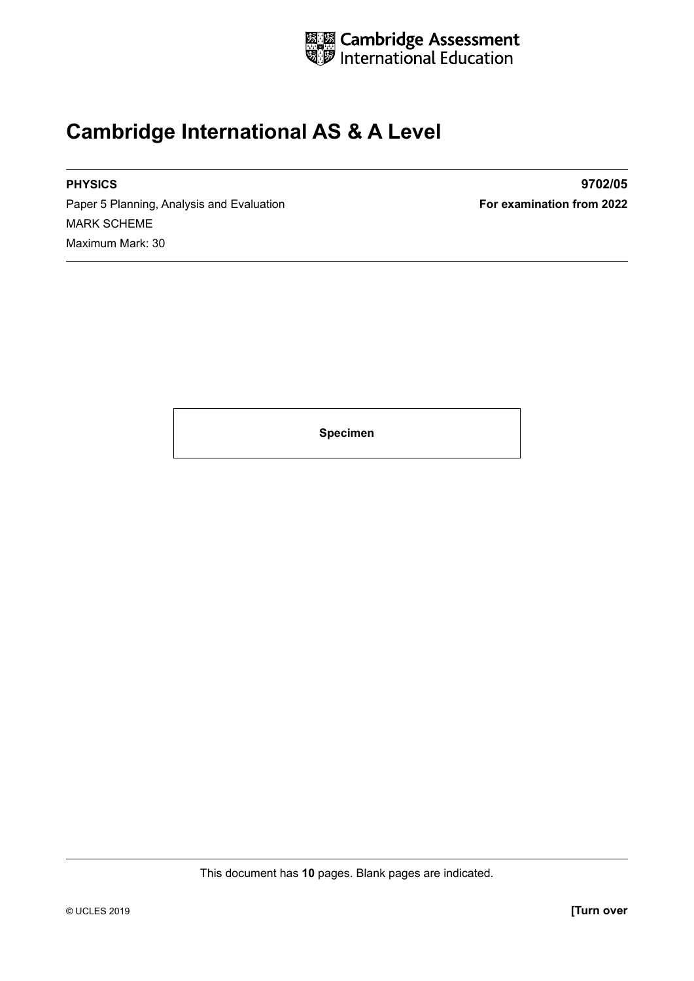

#### **Cambridge International AS & A Level**

Paper 5 Planning, Analysis and Evaluation **For examination from 2022** MARK SCHEME Maximum Mark: 30

**PHYSICS 9702/05**

**Specimen**

This document has **10** pages. Blank pages are indicated.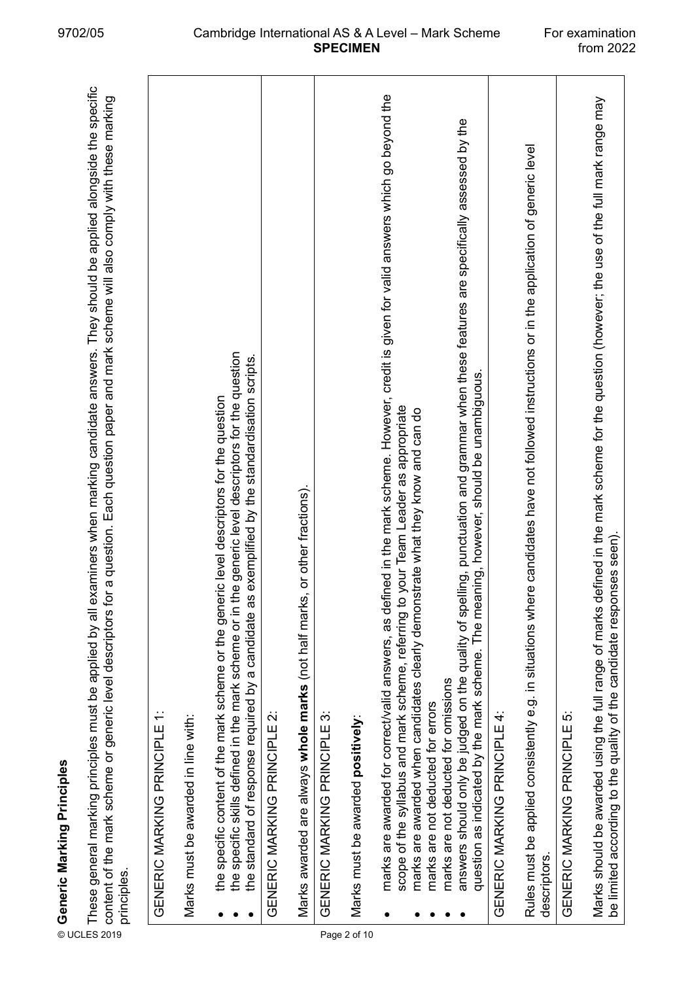|              | These general marking principles must be applied by all examiners when marking candidate answers. They should be applied alongside the specific<br>a question. Each question paper and mark scheme will also comply with these marking<br>content of the mark scheme or generic level descriptors for<br>© Generic Marking Principles<br>E These general marking principl<br>≌ content of the mark scheme or<br>≌ ……………………<br>principles. |
|--------------|-------------------------------------------------------------------------------------------------------------------------------------------------------------------------------------------------------------------------------------------------------------------------------------------------------------------------------------------------------------------------------------------------------------------------------------------|
|              | $\div$<br>GENERIC MARKING PRINCIPLE                                                                                                                                                                                                                                                                                                                                                                                                       |
|              | Marks must be awarded in line with:                                                                                                                                                                                                                                                                                                                                                                                                       |
|              | the specific skills defined in the mark scheme or in the generic level descriptors for the question<br>exemplified by the standardisation scripts.<br>the specific content of the mark scheme or the generic level descriptors for the question<br>the standard of response required by a candidate as                                                                                                                                    |
|              | GENERIC MARKING PRINCIPLE 2:                                                                                                                                                                                                                                                                                                                                                                                                              |
|              | or other fractions).<br>Marks awarded are always whole marks (not half marks,                                                                                                                                                                                                                                                                                                                                                             |
|              | GENERIC MARKING PRINCIPLE 3:                                                                                                                                                                                                                                                                                                                                                                                                              |
| Page 2 of 10 | Marks must be awarded positively:                                                                                                                                                                                                                                                                                                                                                                                                         |
|              | marks are awarded for correct/valid answers, as defined in the mark scheme. However, credit is given for valid answers which go beyond the<br>scope of the syllabus and mark scheme, referring to your Team Leader as appropriate<br>marks are awarded when candidates clearly demonstrate what they know and can do                                                                                                                      |
|              | answers should only be judged on the quality of spelling, punctuation and grammar when these features are specifically assessed by the<br>question as indicated by the mark scheme. The meaning, however, should be unambiguous.<br>marks are not deducted for omissions<br>marks are not deducted for errors                                                                                                                             |
|              | GENERIC MARKING PRINCIPLE 4:                                                                                                                                                                                                                                                                                                                                                                                                              |
|              | Rules must be applied consistently e.g. in situations where candidates have not followed instructions or in the application of generic level<br>descriptors.                                                                                                                                                                                                                                                                              |
|              | GENERIC MARKING PRINCIPLE 5:                                                                                                                                                                                                                                                                                                                                                                                                              |
|              | Marks should be awarded using the full range of marks defined in the mark scheme for the question (however, the use of the full mark range may<br>be limited according to the quality of the candidate responses seen).                                                                                                                                                                                                                   |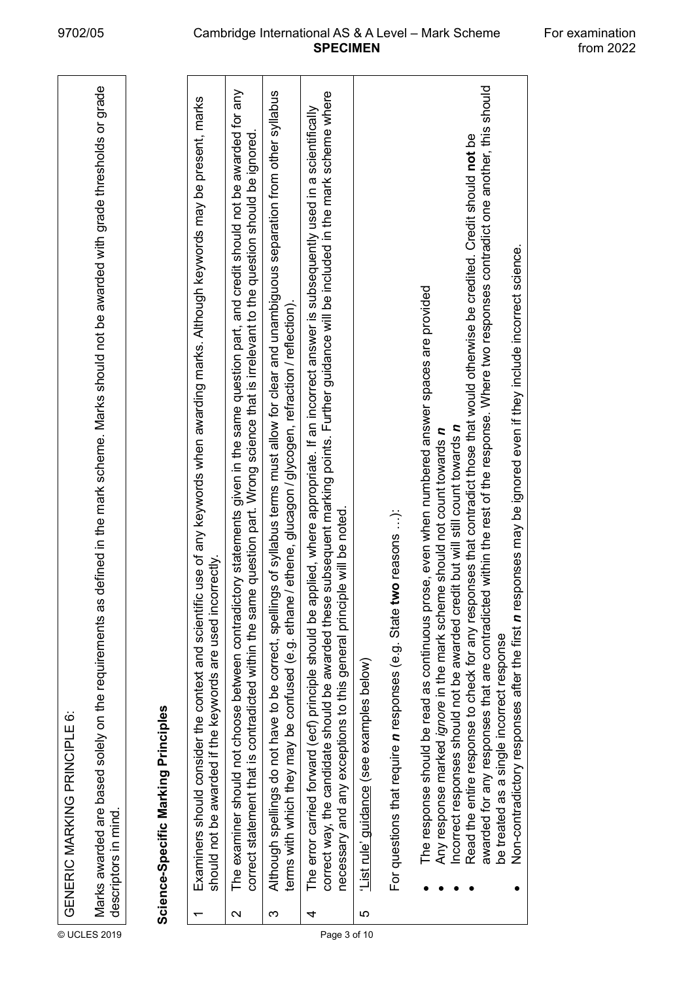|              |                   | GENERIC MARKING PRINCIPLE 6:                                                                                                                                                                                                                                                                                                                                                                                                                                                                                                                                                                                                                                                                                     |
|--------------|-------------------|------------------------------------------------------------------------------------------------------------------------------------------------------------------------------------------------------------------------------------------------------------------------------------------------------------------------------------------------------------------------------------------------------------------------------------------------------------------------------------------------------------------------------------------------------------------------------------------------------------------------------------------------------------------------------------------------------------------|
| © UCLES 2019 |                   | defined in the mark scheme. Marks should not be awarded with grade thresholds or grade<br>Marks awarded are based solely on the requirements as<br>descriptors in mind.                                                                                                                                                                                                                                                                                                                                                                                                                                                                                                                                          |
|              |                   | Science-Specific Marking Principles                                                                                                                                                                                                                                                                                                                                                                                                                                                                                                                                                                                                                                                                              |
|              |                   | Examiners should consider the context and scientific use of any keywords when awarding marks. Although keywords may be present, marks<br>should not be awarded if the keywords are used incorrectly.                                                                                                                                                                                                                                                                                                                                                                                                                                                                                                             |
|              | $\mathbf{\Omega}$ | The examiner should not choose between contradictory statements given in the same question part, and credit should not be awarded for any<br>correct statement that is contradicted within the same question part. Wrong science that is irrelevant to the question should be ignored                                                                                                                                                                                                                                                                                                                                                                                                                            |
|              | က                 | Although spellings do not have to be correct, spellings of syllabus terms must allow for clear and unambiguous separation from other syllabus<br>terms with which they may be confused (e.g. ethene, glucagon / glycogen, refraction / reflection).                                                                                                                                                                                                                                                                                                                                                                                                                                                              |
| Page 3 of 10 | 4                 | subsequent marking points. Further guidance will be included in the mark scheme where<br>plied, where appropriate. If an incorrect answer is subsequently used in a scientifically<br>le will be noted.<br>The error carried forward (ecf) principle should be ap<br>correct way, the candidate should be awarded these<br>necessary and any exceptions to this general princip                                                                                                                                                                                                                                                                                                                                  |
|              | 5                 | List rule' guidance (see examples below)                                                                                                                                                                                                                                                                                                                                                                                                                                                                                                                                                                                                                                                                         |
|              |                   | For questions that require <i>n</i> responses (e.g. State two reasons ):                                                                                                                                                                                                                                                                                                                                                                                                                                                                                                                                                                                                                                         |
|              |                   | awarded for any responses that are contradicted within the rest of the response. Where two responses contradict one another, this should<br>Read the entire response to check for any responses that contradict those that would otherwise be credited. Credit should not be<br>Non-contradictory responses after the first n responses may be ignored even if they include incorrect science.<br>The response should be read as continuous prose, even when numbered answer spaces are provided<br>Incorrect responses should not be awarded credit but will still count towards n<br>e should not count towards n<br>Any response marked ignore in the mark schem<br>be treated as a single incorrect response |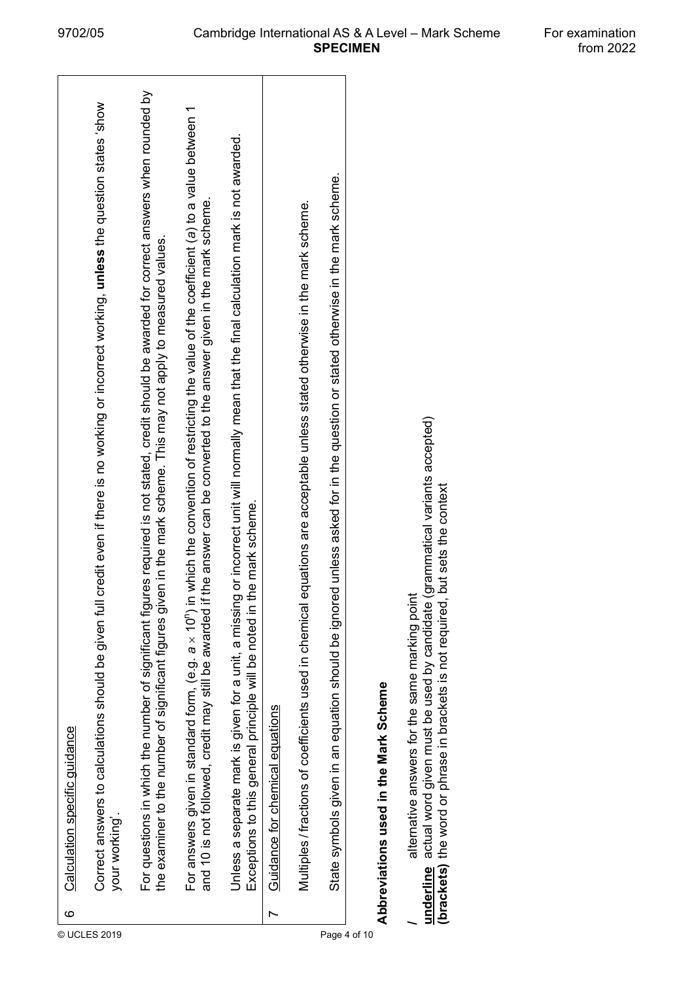|              | ဖ | Calculation specific quidance                                                                                                                                                                                                                                                              |
|--------------|---|--------------------------------------------------------------------------------------------------------------------------------------------------------------------------------------------------------------------------------------------------------------------------------------------|
| © UCLES 2019 |   | credit even if there is no working or incorrect working, unless the question states 'show<br>Correct answers to calculations should be given full<br>your working'.                                                                                                                        |
|              |   | es required is not stated, credit should be awarded for correct answers when rounded by<br>the examiner to the number of significant figures given in the mark scheme. This may not apply to measured values.<br>For questions in which the number of significant figur                    |
|              |   | which the convention of restricting the value of the coefficient (a) to a value between 1<br>and 10 is not followed, credit may still be awarded if the answer can be converted to the answer given in the mark scheme.<br>For answers given in standard form, $(e.g. a \times 10^{n})$ in |
|              |   | or incorrect unit will normally mean that the final calculation mark is not awarded.<br>e mark scheme.<br>Unless a separate mark is given for a unit, a missing<br>Exceptions to this general principle will be noted in th                                                                |
|              |   | Guidance for chemical equations                                                                                                                                                                                                                                                            |
|              |   | quations are acceptable unless stated otherwise in the mark scheme.<br>Multiples / fractions of coefficients used in chemical e                                                                                                                                                            |
| Page 4 of 10 |   | State symbols given in an equation should be ignored unless asked for in the question or stated otherwise in the mark scheme.                                                                                                                                                              |
|              |   | Abbreviations used in the Mark Scheme                                                                                                                                                                                                                                                      |

/<br><u>underline</u> actual word given must be used by candidate (grammatical variants accepted)<br>(brackets) the word or phrase in brackets is not required, but sets the context **underline** actual word given must be used by candidate (grammatical variants accepted) **(brackets)** the word or phrase in brackets is not required, but sets the context**/** alternative answers for the same marking point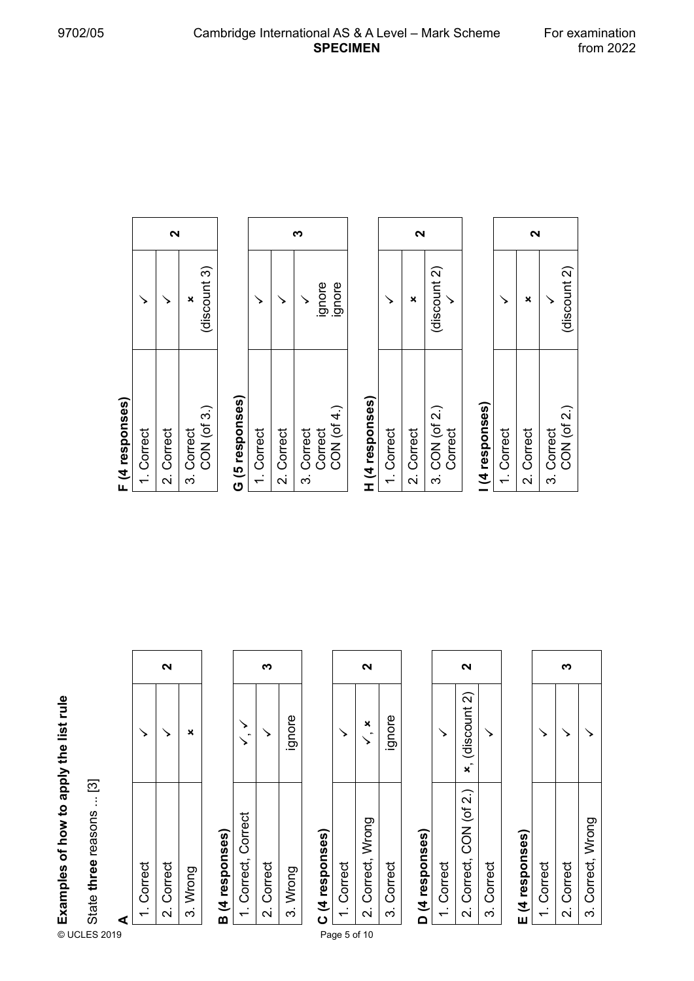#### **A**

|                                        |                          |   |                          | 2          |          |                 |                     | ∾          |          |                 |              | 2                                         |
|----------------------------------------|--------------------------|---|--------------------------|------------|----------|-----------------|---------------------|------------|----------|-----------------|--------------|-------------------------------------------|
|                                        |                          |   |                          |            | ×        |                 |                     |            | ignore   |                 |              | ×                                         |
| Examples of how to apply the list rule | State three reasons  [3] | ₫ | Correct<br>$\frac{1}{2}$ | 2. Correct | 3. Wrong | B (4 responses) | 1. Correct, Correct | 2. Correct | 3. Wrong | C (4 responses) | 1. Correct   | Correct, Wrong<br>$\overline{\mathbf{v}}$ |
|                                        | © UCLES 2019             |   |                          |            |          |                 |                     |            |          |                 | Page 5 of 10 |                                           |

# **B (4 responses)**

|                  |            | gnore    |
|------------------|------------|----------|
| Correct, Correct | 2. Correct | 3. Wrong |

## **C (4 responses)**

|         | ี                 |            |
|---------|-------------------|------------|
|         |                   | ignore     |
| Correct | 2. Correct, Wrong | 3. Correct |

#### D (4 responses) **D (4 responses)**

|          | N                       |            |
|----------|-------------------------|------------|
|          | $x$ , (discount 2)      |            |
| .Correct | 2. Correct, CON (of 2.) | 3. Correct |

### E (4 responses) **E (4 responses)**

| Correct | 2. Correct | 3. Correct, Wrong |
|---------|------------|-------------------|

#### F (4 responses) **F (4 responses)**

|         | N          |                           |
|---------|------------|---------------------------|
|         |            | discount 3)               |
| Correct | 2. Correct | CON (of 3.)<br>3. Correct |

### G (5 responses) **G (5 responses)**

|           |            |            | ignore  | ignore     |
|-----------|------------|------------|---------|------------|
| . Correct | 2. Correct | 3. Correct | Correct | CON (of 4. |

### H (4 responses) **H (4 responses)**

|           | ี          |                           |
|-----------|------------|---------------------------|
|           |            | (discount 2)              |
| . Correct | 2. Correct | 3. CON (of 2.)<br>Correct |

#### (4 responses) **I (4 responses)**

|                                                  | ี่       |            |            |              |  |  |  |  |  |
|--------------------------------------------------|----------|------------|------------|--------------|--|--|--|--|--|
|                                                  |          |            |            | (discount 2) |  |  |  |  |  |
| <br> <br> <br> <br> <br> <br> <br> <br> <br><br> | .Correct | 2. Correct | 3. Correct | CON (of 2.)  |  |  |  |  |  |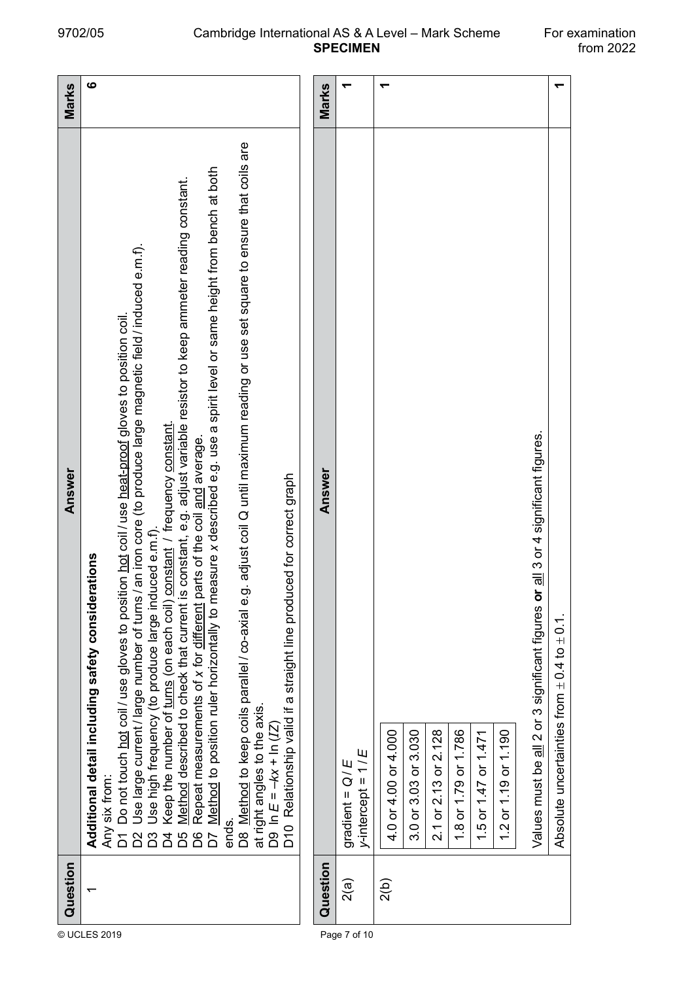$\leftarrow$ 

Absolute uncertainties from ± 0.4 to ± 0.1. **1**

Absolute uncertainties from  $\pm$  0.4 to  $\pm$  0.1.

|              | Question | Answer                                                                                                                                                                                                                                                                                                                                                                                                                                                                                                                                                                                                                                                                                                                                                                                                                                                                                                                                                                                                                                                                                       | Marks |
|--------------|----------|----------------------------------------------------------------------------------------------------------------------------------------------------------------------------------------------------------------------------------------------------------------------------------------------------------------------------------------------------------------------------------------------------------------------------------------------------------------------------------------------------------------------------------------------------------------------------------------------------------------------------------------------------------------------------------------------------------------------------------------------------------------------------------------------------------------------------------------------------------------------------------------------------------------------------------------------------------------------------------------------------------------------------------------------------------------------------------------------|-------|
| © UCLES 2019 |          | D8 Method to keep coils parallel / co-axial e.g. adjust coil Q until maximum reading or use set square to ensure that coils are<br>Method to position ruler horizontally to measure x described e.g. use a spirit level or same height from bench at both<br>Method described to check that current is constant, e.g. adjust variable resistor to keep ammeter reading constant.<br>an iron core (to produce large magnetic field / induced e.m.f).<br>Do not touch hot coil / use gloves to position hot coil / use heat-proof gloves to position coil<br>Keep the number of turns (on each coil) constant / frequency constant.<br>Repeat measurements of x for different parts of the coil and average.<br>D10 Relationship valid if a straight line produced for correct graph<br>Use high frequency (to produce large induced e.m.f).<br>Additional detail including safety considerations<br>Use large current / large number of turns /<br>at right angles to the axis.<br>D9 In $E = -kx + \ln (12)$<br>Any six from:<br>ends.<br>$\overline{C}$<br>$\overline{a}$<br>D5<br>D6<br>24 | ဖ     |
|              | Question | Answer                                                                                                                                                                                                                                                                                                                                                                                                                                                                                                                                                                                                                                                                                                                                                                                                                                                                                                                                                                                                                                                                                       | Marks |
| Page 7 of 10 | 2(a)     | $y$ -intercept = $1/E$<br>í,<br>gradient = $Q$                                                                                                                                                                                                                                                                                                                                                                                                                                                                                                                                                                                                                                                                                                                                                                                                                                                                                                                                                                                                                                               | ↽     |
|              | 2(b)     | 2.1 or 2.13 or 2.128<br>3.0 or 3.03 or 3.030<br>1.8 or 1.79 or 1.786<br>4.0 or 4.00 or 4.000<br>1.5 or 1.47 or 1.471<br>or 1.19 or 1.190<br>$\frac{1}{2}$                                                                                                                                                                                                                                                                                                                                                                                                                                                                                                                                                                                                                                                                                                                                                                                                                                                                                                                                    | ┯     |
|              |          | Values must be all 2 or 3 significant figures or all 3 or 4 significant figures.                                                                                                                                                                                                                                                                                                                                                                                                                                                                                                                                                                                                                                                                                                                                                                                                                                                                                                                                                                                                             |       |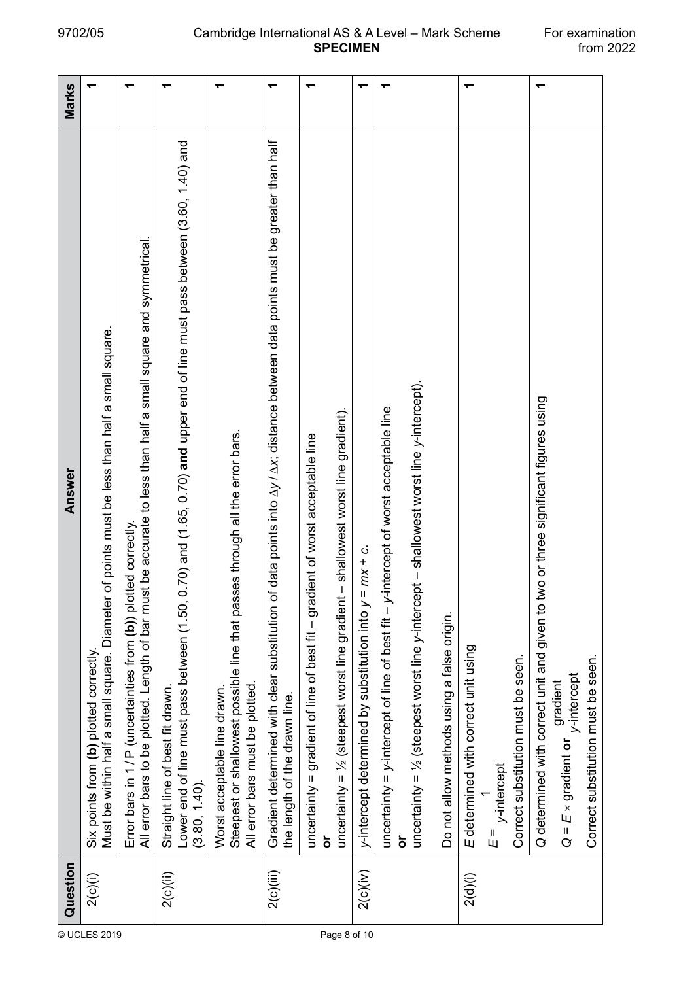r.

|              | Question  | Answer                                                                                                                                                                                           | Marks |
|--------------|-----------|--------------------------------------------------------------------------------------------------------------------------------------------------------------------------------------------------|-------|
|              | 2(c)(i)   | Must be within half a small square. Diameter of points must be less than half a small square.<br>Six points from (b) plotted correctly                                                           |       |
|              |           | All error bars to be plotted. Length of bar must be accurate to less than half a small square and symmetrical.<br>Error bars in 1/P (uncertainties from (b)) plotted correctly                   |       |
|              | 2(c)(ii)  | 0.70) and (1.65, 0.70) and upper end of line must pass between (3.60, 1.40) and<br>Lower end of line must pass between (1.50,<br>Straight line of best fit drawn.<br>$(3.80, 1.40)$ .            |       |
|              |           | Steepest or shallowest possible line that passes through all the error bars.<br>All error bars must be plotted.<br>Worst acceptable line drawn.                                                  |       |
|              | 2(c)(iii) | of data points into $\Delta y$ / $\Delta x$ , distance between data points must be greater than half<br>Gradient determined with clear substitution<br>the length of the drawn line.             |       |
| Page 8 of 10 |           | uncertainty = $\frac{1}{2}$ (steepest worst line gradient - shallowest worst line gradient).<br>uncertainty = gradient of line of best fit - gradient of worst acceptable line                   |       |
|              | 2(c)(iv)  | $= mx + c$ .<br>y-intercept determined by substitution into $y$                                                                                                                                  |       |
|              |           | y-intercept of worst acceptable line<br>uncertainty = $y$ -intercept of line of best fit $-$                                                                                                     |       |
|              |           | uncertainty = $\frac{1}{2}$ (steepest worst line y-intercept - shallowest worst line y-intercept).<br>Do not allow methods using a false origin.                                                 |       |
|              | 2(d)(i)   | E determined with correct unit using<br>Correct substitution must be seen.<br>$E = \frac{1}{V \cdot \text{intercept}}$                                                                           |       |
|              |           | two or three significant figures using<br>Q determined with correct unit and given to<br>Correct substitution must be seen.<br>$Q = E \times gradient$ or $\frac{d}{dx}$ printercept<br>gradient |       |